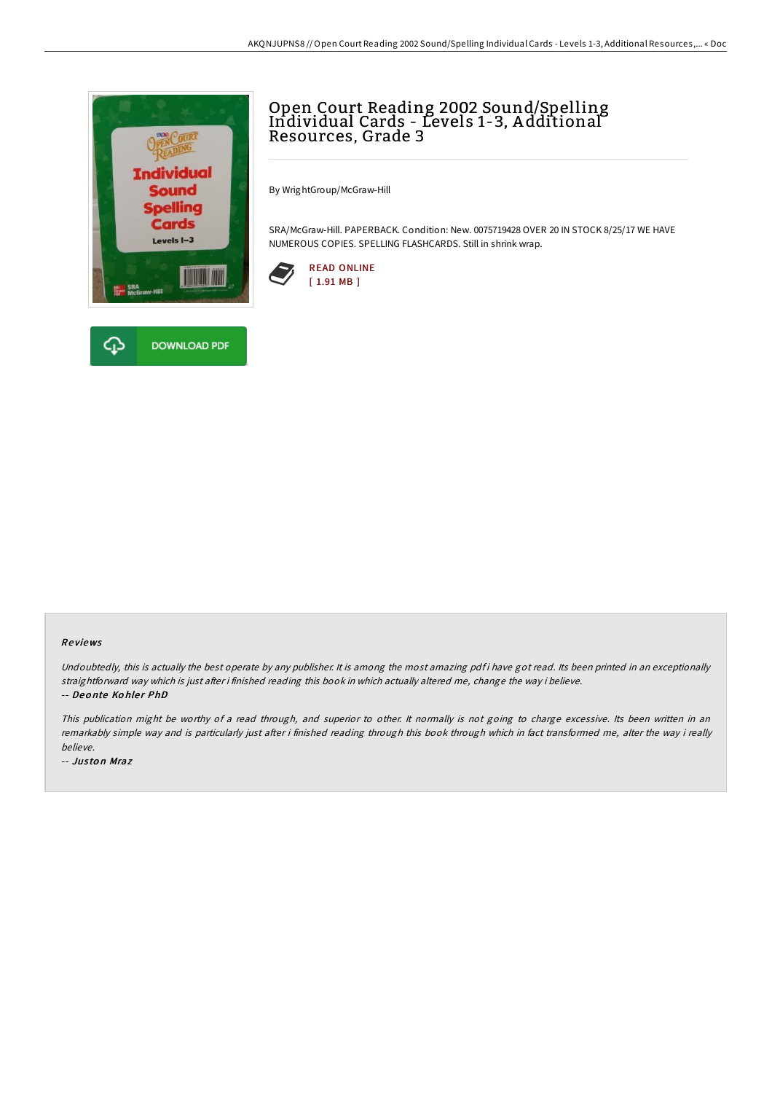



By WrightGroup/McGraw-Hill

SRA/McGraw-Hill. PAPERBACK. Condition: New. 0075719428 OVER 20 IN STOCK 8/25/17 WE HAVE NUMEROUS COPIES. SPELLING FLASHCARDS. Still in shrink wrap.



## Re views

Undoubtedly, this is actually the best operate by any publisher. It is among the most amazing pdf i have got read. Its been printed in an exceptionally straightforward way which is just after i finished reading this book in which actually altered me, change the way i believe. -- Deonte Kohler PhD

This publication might be worthy of <sup>a</sup> read through, and superior to other. It normally is not going to charge excessive. Its been written in an remarkably simple way and is particularly just after i finished reading through this book through which in fact transformed me, alter the way i really believe.

-- Jus to n Mraz